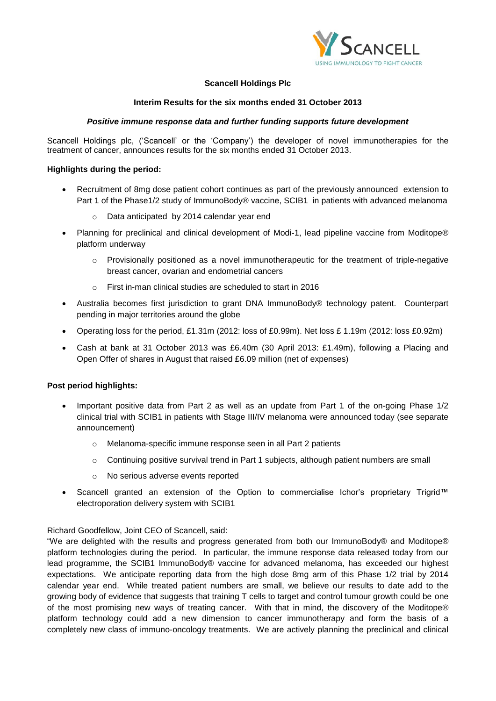

# **Scancell Holdings Plc**

## **Interim Results for the six months ended 31 October 2013**

## *Positive immune response data and further funding supports future development*

Scancell Holdings plc, ('Scancell' or the 'Company') the developer of novel immunotherapies for the treatment of cancer, announces results for the six months ended 31 October 2013.

## **Highlights during the period:**

- Recruitment of 8mg dose patient cohort continues as part of the previously announced extension to Part 1 of the Phase1/2 study of ImmunoBody® vaccine, SCIB1 in patients with advanced melanoma
	- o Data anticipated by 2014 calendar year end
- Planning for preclinical and clinical development of Modi-1, lead pipeline vaccine from Moditope® platform underway
	- $\circ$  Provisionally positioned as a novel immunotherapeutic for the treatment of triple-negative breast cancer, ovarian and endometrial cancers
	- o First in-man clinical studies are scheduled to start in 2016
- Australia becomes first jurisdiction to grant DNA ImmunoBody® technology patent. Counterpart pending in major territories around the globe
- Operating loss for the period, £1.31m (2012: loss of £0.99m). Net loss £ 1.19m (2012: loss £0.92m)
- Cash at bank at 31 October 2013 was £6.40m (30 April 2013: £1.49m), following a Placing and Open Offer of shares in August that raised £6.09 million (net of expenses)

## **Post period highlights:**

- Important positive data from Part 2 as well as an update from Part 1 of the on-going Phase 1/2 clinical trial with SCIB1 in patients with Stage III/IV melanoma were announced today (see separate announcement)
	- o Melanoma-specific immune response seen in all Part 2 patients
	- o Continuing positive survival trend in Part 1 subjects, although patient numbers are small
	- o No serious adverse events reported
- Scancell granted an extension of the Option to commercialise Ichor's proprietary Trigrid™ electroporation delivery system with SCIB1

## Richard Goodfellow, Joint CEO of Scancell, said:

"We are delighted with the results and progress generated from both our ImmunoBody® and Moditope® platform technologies during the period. In particular, the immune response data released today from our lead programme, the SCIB1 ImmunoBody® vaccine for advanced melanoma, has exceeded our highest expectations. We anticipate reporting data from the high dose 8mg arm of this Phase 1/2 trial by 2014 calendar year end. While treated patient numbers are small, we believe our results to date add to the growing body of evidence that suggests that training T cells to target and control tumour growth could be one of the most promising new ways of treating cancer. With that in mind, the discovery of the Moditope® platform technology could add a new dimension to cancer immunotherapy and form the basis of a completely new class of immuno-oncology treatments. We are actively planning the preclinical and clinical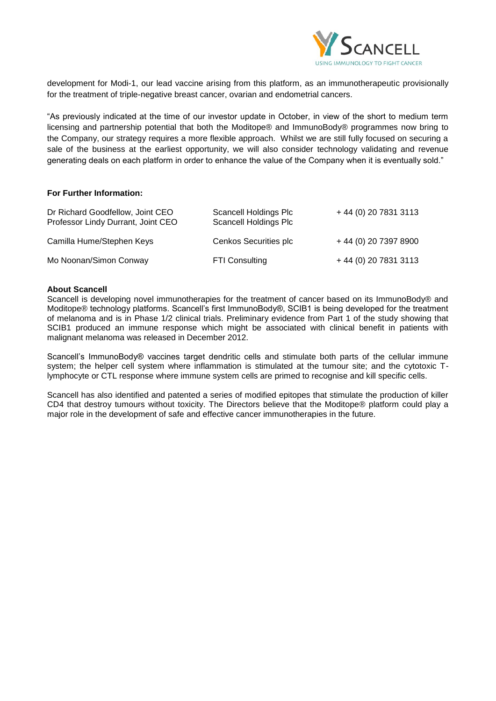

development for Modi-1, our lead vaccine arising from this platform, as an immunotherapeutic provisionally for the treatment of triple-negative breast cancer, ovarian and endometrial cancers.

"As previously indicated at the time of our investor update in October, in view of the short to medium term licensing and partnership potential that both the Moditope® and ImmunoBody® programmes now bring to the Company, our strategy requires a more flexible approach. Whilst we are still fully focused on securing a sale of the business at the earliest opportunity, we will also consider technology validating and revenue generating deals on each platform in order to enhance the value of the Company when it is eventually sold."

## **For Further Information:**

| Dr Richard Goodfellow, Joint CEO<br>Professor Lindy Durrant, Joint CEO | Scancell Holdings Plc<br><b>Scancell Holdings Plc</b> | + 44 (0) 20 7831 3113 |
|------------------------------------------------------------------------|-------------------------------------------------------|-----------------------|
| Camilla Hume/Stephen Keys                                              | <b>Cenkos Securities plc</b>                          | + 44 (0) 20 7397 8900 |
| Mo Noonan/Simon Conway                                                 | FTI Consulting                                        | + 44 (0) 20 7831 3113 |

## **About Scancell**

Scancell is developing novel immunotherapies for the treatment of cancer based on its ImmunoBody® and Moditope® technology platforms. Scancell's first ImmunoBody®, SCIB1 is being developed for the treatment of melanoma and is in Phase 1/2 clinical trials. Preliminary evidence from Part 1 of the study showing that SCIB1 produced an immune response which might be associated with clinical benefit in patients with malignant melanoma was released in December 2012.

Scancell's ImmunoBody® vaccines target dendritic cells and stimulate both parts of the cellular immune system; the helper cell system where inflammation is stimulated at the tumour site; and the cytotoxic Tlymphocyte or CTL response where immune system cells are primed to recognise and kill specific cells.

Scancell has also identified and patented a series of modified epitopes that stimulate the production of killer CD4 that destroy tumours without toxicity. The Directors believe that the Moditope® platform could play a major role in the development of safe and effective cancer immunotherapies in the future.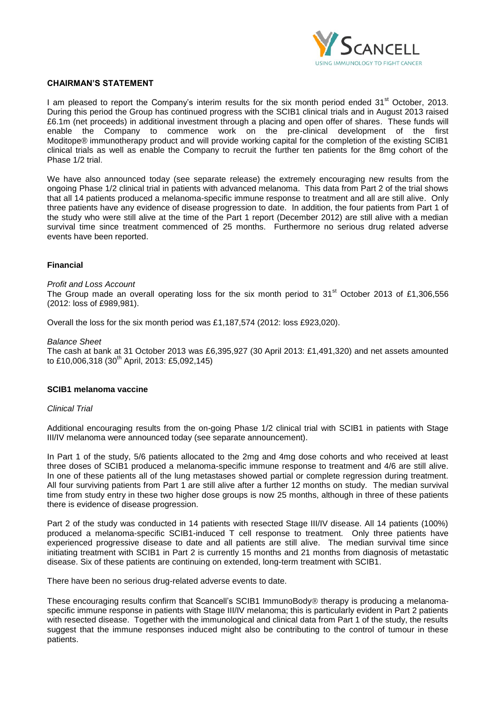

### **CHAIRMAN'S STATEMENT**

I am pleased to report the Company's interim results for the six month period ended  $31<sup>st</sup>$  October, 2013. During this period the Group has continued progress with the SCIB1 clinical trials and in August 2013 raised £6.1m (net proceeds) in additional investment through a placing and open offer of shares. These funds will enable the Company to commence work on the pre-clinical development of the first Moditope® immunotherapy product and will provide working capital for the completion of the existing SCIB1 clinical trials as well as enable the Company to recruit the further ten patients for the 8mg cohort of the Phase 1/2 trial.

We have also announced today (see separate release) the extremely encouraging new results from the ongoing Phase 1/2 clinical trial in patients with advanced melanoma. This data from Part 2 of the trial shows that all 14 patients produced a melanoma-specific immune response to treatment and all are still alive. Only three patients have any evidence of disease progression to date. In addition, the four patients from Part 1 of the study who were still alive at the time of the Part 1 report (December 2012) are still alive with a median survival time since treatment commenced of 25 months. Furthermore no serious drug related adverse events have been reported.

## **Financial**

*Profit and Loss Account*

The Group made an overall operating loss for the six month period to  $31<sup>st</sup>$  October 2013 of £1,306,556 (2012: loss of £989,981).

Overall the loss for the six month period was £1,187,574 (2012: loss £923,020).

#### *Balance Sheet*

The cash at bank at 31 October 2013 was £6,395,927 (30 April 2013: £1,491,320) and net assets amounted to £10,006,318 (30<sup>th</sup> April, 2013: £5,092,145)

### **SCIB1 melanoma vaccine**

#### *Clinical Trial*

Additional encouraging results from the on-going Phase 1/2 clinical trial with SCIB1 in patients with Stage III/IV melanoma were announced today (see separate announcement).

In Part 1 of the study, 5/6 patients allocated to the 2mg and 4mg dose cohorts and who received at least three doses of SCIB1 produced a melanoma-specific immune response to treatment and 4/6 are still alive. In one of these patients all of the lung metastases showed partial or complete regression during treatment. All four surviving patients from Part 1 are still alive after a further 12 months on study. The median survival time from study entry in these two higher dose groups is now 25 months, although in three of these patients there is evidence of disease progression.

Part 2 of the study was conducted in 14 patients with resected Stage III/IV disease. All 14 patients (100%) produced a melanoma-specific SCIB1-induced T cell response to treatment. Only three patients have experienced progressive disease to date and all patients are still alive. The median survival time since initiating treatment with SCIB1 in Part 2 is currently 15 months and 21 months from diagnosis of metastatic disease. Six of these patients are continuing on extended, long-term treatment with SCIB1.

There have been no serious drug-related adverse events to date.

These encouraging results confirm that Scancell's SCIB1 ImmunoBody<sup>®</sup> therapy is producing a melanomaspecific immune response in patients with Stage III/IV melanoma; this is particularly evident in Part 2 patients with resected disease. Together with the immunological and clinical data from Part 1 of the study, the results suggest that the immune responses induced might also be contributing to the control of tumour in these patients.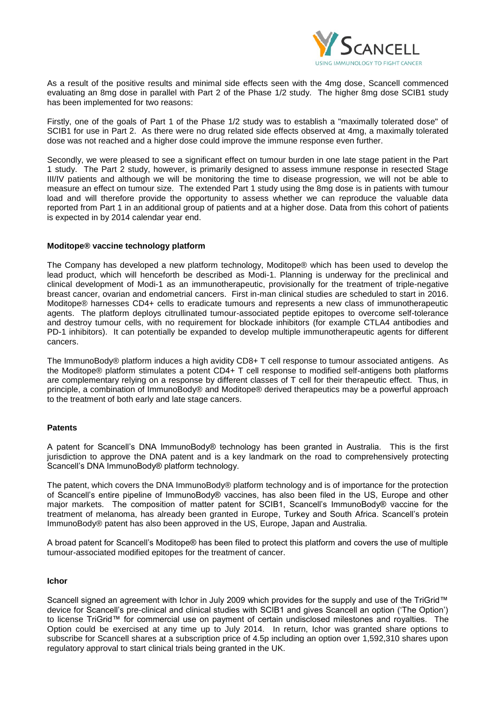

As a result of the positive results and minimal side effects seen with the 4mg dose, Scancell commenced evaluating an 8mg dose in parallel with Part 2 of the Phase 1/2 study. The higher 8mg dose SCIB1 study has been implemented for two reasons:

Firstly, one of the goals of Part 1 of the Phase 1/2 study was to establish a "maximally tolerated dose" of SCIB1 for use in Part 2. As there were no drug related side effects observed at 4mg, a maximally tolerated dose was not reached and a higher dose could improve the immune response even further.

Secondly, we were pleased to see a significant effect on tumour burden in one late stage patient in the Part 1 study. The Part 2 study, however, is primarily designed to assess immune response in resected Stage III/IV patients and although we will be monitoring the time to disease progression, we will not be able to measure an effect on tumour size. The extended Part 1 study using the 8mg dose is in patients with tumour load and will therefore provide the opportunity to assess whether we can reproduce the valuable data reported from Part 1 in an additional group of patients and at a higher dose. Data from this cohort of patients is expected in by 2014 calendar year end.

### **Moditope® vaccine technology platform**

The Company has developed a new platform technology, Moditope® which has been used to develop the lead product, which will henceforth be described as Modi-1. Planning is underway for the preclinical and clinical development of Modi-1 as an immunotherapeutic, provisionally for the treatment of triple-negative breast cancer, ovarian and endometrial cancers. First in-man clinical studies are scheduled to start in 2016. Moditope® harnesses CD4+ cells to eradicate tumours and represents a new class of immunotherapeutic agents. The platform deploys citrullinated tumour-associated peptide epitopes to overcome self-tolerance and destroy tumour cells, with no requirement for blockade inhibitors (for example CTLA4 antibodies and PD-1 inhibitors). It can potentially be expanded to develop multiple immunotherapeutic agents for different cancers.

The ImmunoBody® platform induces a high avidity CD8+ T cell response to tumour associated antigens. As the Moditope® platform stimulates a potent CD4+ T cell response to modified self-antigens both platforms are complementary relying on a response by different classes of T cell for their therapeutic effect. Thus, in principle, a combination of ImmunoBody® and Moditope® derived therapeutics may be a powerful approach to the treatment of both early and late stage cancers.

## **Patents**

A patent for Scancell's DNA ImmunoBody® technology has been granted in Australia. This is the first jurisdiction to approve the DNA patent and is a key landmark on the road to comprehensively protecting Scancell's DNA ImmunoBody® platform technology.

The patent, which covers the DNA ImmunoBody® platform technology and is of importance for the protection of Scancell's entire pipeline of ImmunoBody® vaccines, has also been filed in the US, Europe and other major markets. The composition of matter patent for SCIB1, Scancell's ImmunoBody® vaccine for the treatment of melanoma, has already been granted in Europe, Turkey and South Africa. Scancell's protein ImmunoBody® patent has also been approved in the US, Europe, Japan and Australia.

A broad patent for Scancell's Moditope® has been filed to protect this platform and covers the use of multiple tumour-associated modified epitopes for the treatment of cancer.

### **Ichor**

Scancell signed an agreement with Ichor in July 2009 which provides for the supply and use of the TriGrid™ device for Scancell's pre-clinical and clinical studies with SCIB1 and gives Scancell an option ('The Option') to license TriGrid™ for commercial use on payment of certain undisclosed milestones and royalties. The Option could be exercised at any time up to July 2014. In return, Ichor was granted share options to subscribe for Scancell shares at a subscription price of 4.5p including an option over 1,592,310 shares upon regulatory approval to start clinical trials being granted in the UK.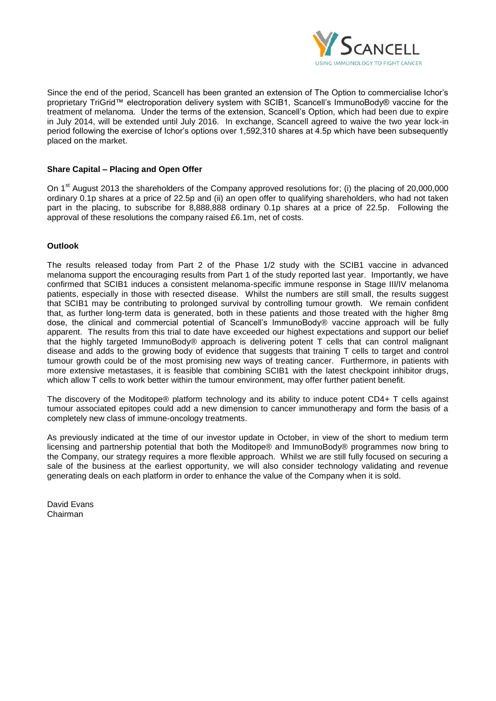

Since the end of the period, Scancell has been granted an extension of The Option to commercialise Ichor's proprietary TriGrid™ electroporation delivery system with SCIB1, Scancell's ImmunoBody® vaccine for the treatment of melanoma. Under the terms of the extension, Scancell's Option, which had been due to expire in July 2014, will be extended until July 2016. In exchange, Scancell agreed to waive the two year lock-in period following the exercise of Ichor's options over 1,592,310 shares at 4.5p which have been subsequently placed on the market.

## **Share Capital – Placing and Open Offer**

On 1<sup>st</sup> August 2013 the shareholders of the Company approved resolutions for; (i) the placing of 20,000,000 ordinary 0.1p shares at a price of 22.5p and (ii) an open offer to qualifying shareholders, who had not taken part in the placing, to subscribe for 8,888,888 ordinary 0.1p shares at a price of 22.5p. Following the approval of these resolutions the company raised £6.1m, net of costs.

## **Outlook**

The results released today from Part 2 of the Phase 1/2 study with the SCIB1 vaccine in advanced melanoma support the encouraging results from Part 1 of the study reported last year. Importantly, we have confirmed that SCIB1 induces a consistent melanoma-specific immune response in Stage III/IV melanoma patients, especially in those with resected disease. Whilst the numbers are still small, the results suggest that SCIB1 may be contributing to prolonged survival by controlling tumour growth. We remain confident that, as further long-term data is generated, both in these patients and those treated with the higher 8mg dose, the clinical and commercial potential of Scancell's ImmunoBody® vaccine approach will be fully apparent. The results from this trial to date have exceeded our highest expectations and support our belief that the highly targeted ImmunoBody® approach is delivering potent T cells that can control malignant disease and adds to the growing body of evidence that suggests that training T cells to target and control tumour growth could be of the most promising new ways of treating cancer. Furthermore, in patients with more extensive metastases, it is feasible that combining SCIB1 with the latest checkpoint inhibitor drugs, which allow T cells to work better within the tumour environment, may offer further patient benefit.

The discovery of the Moditope® platform technology and its ability to induce potent CD4+ T cells against tumour associated epitopes could add a new dimension to cancer immunotherapy and form the basis of a completely new class of immune-oncology treatments.

As previously indicated at the time of our investor update in October, in view of the short to medium term licensing and partnership potential that both the Moditope® and ImmunoBody® programmes now bring to the Company, our strategy requires a more flexible approach. Whilst we are still fully focused on securing a sale of the business at the earliest opportunity, we will also consider technology validating and revenue generating deals on each platform in order to enhance the value of the Company when it is sold.

David Evans Chairman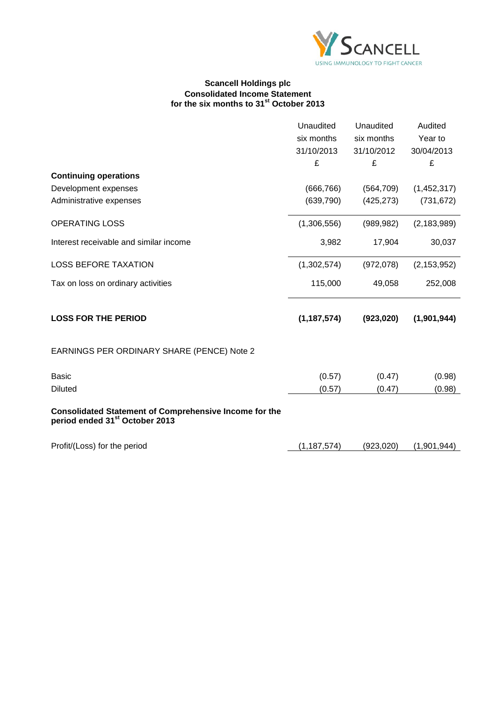

### **Scancell Holdings plc Consolidated Income Statement for the six months to 31st October 2013**

|                                                                                                             | Unaudited     | Unaudited  | Audited       |
|-------------------------------------------------------------------------------------------------------------|---------------|------------|---------------|
|                                                                                                             | six months    | six months | Year to       |
|                                                                                                             | 31/10/2013    | 31/10/2012 | 30/04/2013    |
|                                                                                                             | £             | £          | £             |
| <b>Continuing operations</b>                                                                                |               |            |               |
| Development expenses                                                                                        | (666, 766)    | (564, 709) | (1,452,317)   |
| Administrative expenses                                                                                     | (639, 790)    | (425, 273) | (731, 672)    |
| <b>OPERATING LOSS</b>                                                                                       | (1,306,556)   | (989, 982) | (2, 183, 989) |
| Interest receivable and similar income                                                                      | 3,982         | 17,904     | 30,037        |
| <b>LOSS BEFORE TAXATION</b>                                                                                 | (1,302,574)   | (972,078)  | (2, 153, 952) |
| Tax on loss on ordinary activities                                                                          | 115,000       | 49,058     | 252,008       |
| <b>LOSS FOR THE PERIOD</b>                                                                                  | (1, 187, 574) | (923, 020) | (1,901,944)   |
| EARNINGS PER ORDINARY SHARE (PENCE) Note 2                                                                  |               |            |               |
| <b>Basic</b>                                                                                                | (0.57)        | (0.47)     | (0.98)        |
| <b>Diluted</b>                                                                                              | (0.57)        | (0.47)     | (0.98)        |
| <b>Consolidated Statement of Comprehensive Income for the</b><br>period ended 31 <sup>st</sup> October 2013 |               |            |               |
| Profit/(Loss) for the period                                                                                | (1, 187, 574) | (923,020)  | (1,901,944)   |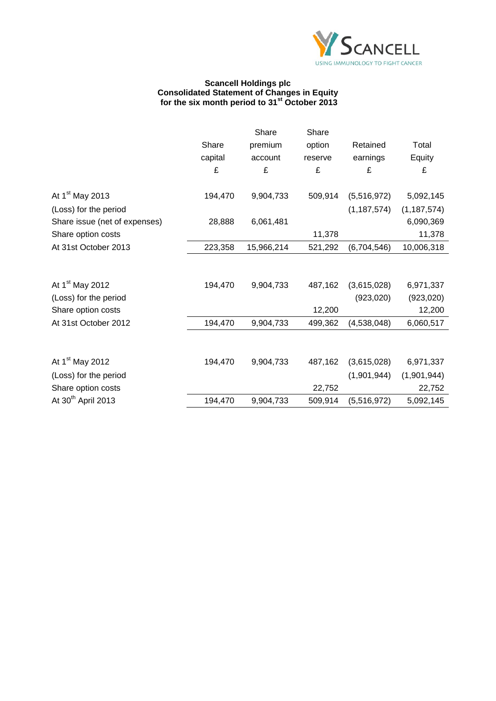

#### **Scancell Holdings plc Consolidated Statement of Changes in Equity for the six month period to 31st October 2013**

|                                |         | Share      | Share   |               |               |
|--------------------------------|---------|------------|---------|---------------|---------------|
|                                | Share   | premium    | option  | Retained      | Total         |
|                                | capital | account    | reserve | earnings      | Equity        |
|                                | £       | £          | £       | £             | £             |
| At 1 <sup>st</sup> May 2013    | 194,470 | 9,904,733  | 509,914 | (5,516,972)   | 5,092,145     |
| (Loss) for the period          |         |            |         | (1, 187, 574) | (1, 187, 574) |
| Share issue (net of expenses)  | 28,888  | 6,061,481  |         |               | 6,090,369     |
| Share option costs             |         |            | 11,378  |               | 11,378        |
| At 31st October 2013           | 223,358 | 15,966,214 | 521,292 | (6,704,546)   | 10,006,318    |
|                                |         |            |         |               |               |
| At 1 <sup>st</sup> May 2012    | 194,470 | 9,904,733  | 487,162 | (3,615,028)   | 6,971,337     |
| (Loss) for the period          |         |            |         | (923, 020)    | (923, 020)    |
| Share option costs             |         |            | 12,200  |               | 12,200        |
| At 31st October 2012           | 194,470 | 9,904,733  | 499,362 | (4,538,048)   | 6,060,517     |
|                                |         |            |         |               |               |
| At 1 <sup>st</sup> May 2012    | 194,470 | 9,904,733  | 487,162 | (3,615,028)   | 6,971,337     |
| (Loss) for the period          |         |            |         | (1,901,944)   | (1,901,944)   |
| Share option costs             |         |            | 22,752  |               | 22,752        |
| At 30 <sup>th</sup> April 2013 | 194,470 | 9,904,733  | 509,914 | (5,516,972)   | 5,092,145     |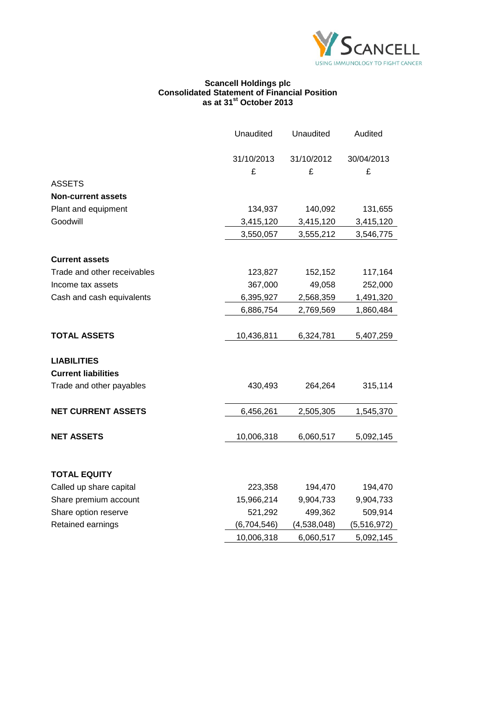

### **Scancell Holdings plc Consolidated Statement of Financial Position as at 31st October 2013**

|                             | Unaudited   | Unaudited   | Audited     |
|-----------------------------|-------------|-------------|-------------|
|                             | 31/10/2013  | 31/10/2012  | 30/04/2013  |
|                             | £           | £           | £           |
| <b>ASSETS</b>               |             |             |             |
| <b>Non-current assets</b>   |             |             |             |
| Plant and equipment         | 134,937     | 140,092     | 131,655     |
| Goodwill                    | 3,415,120   | 3,415,120   | 3,415,120   |
|                             | 3,550,057   | 3,555,212   | 3,546,775   |
| <b>Current assets</b>       |             |             |             |
| Trade and other receivables | 123,827     | 152,152     | 117,164     |
| Income tax assets           | 367,000     | 49,058      | 252,000     |
| Cash and cash equivalents   | 6,395,927   | 2,568,359   | 1,491,320   |
|                             | 6,886,754   | 2,769,569   | 1,860,484   |
|                             |             |             |             |
| <b>TOTAL ASSETS</b>         | 10,436,811  | 6,324,781   | 5,407,259   |
| <b>LIABILITIES</b>          |             |             |             |
| <b>Current liabilities</b>  |             |             |             |
| Trade and other payables    | 430,493     | 264,264     | 315,114     |
| <b>NET CURRENT ASSETS</b>   | 6,456,261   | 2,505,305   | 1,545,370   |
| <b>NET ASSETS</b>           | 10,006,318  | 6,060,517   | 5,092,145   |
| <b>TOTAL EQUITY</b>         |             |             |             |
| Called up share capital     | 223,358     | 194,470     | 194,470     |
| Share premium account       | 15,966,214  | 9,904,733   | 9,904,733   |
| Share option reserve        | 521,292     | 499,362     | 509,914     |
| Retained earnings           | (6,704,546) | (4,538,048) | (5,516,972) |
|                             | 10,006,318  | 6,060,517   | 5,092,145   |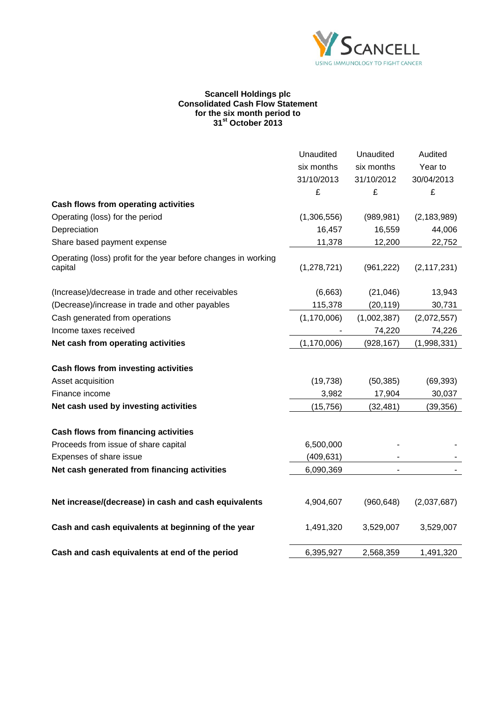

### **Scancell Holdings plc Consolidated Cash Flow Statement for the six month period to 31st October 2013**

|                                                                           | Unaudited     | Unaudited   | Audited       |
|---------------------------------------------------------------------------|---------------|-------------|---------------|
|                                                                           | six months    | six months  | Year to       |
|                                                                           | 31/10/2013    | 31/10/2012  | 30/04/2013    |
|                                                                           | £             | £           | £             |
| Cash flows from operating activities                                      |               |             |               |
| Operating (loss) for the period                                           | (1,306,556)   | (989, 981)  | (2, 183, 989) |
| Depreciation                                                              | 16,457        | 16,559      | 44,006        |
| Share based payment expense                                               | 11,378        | 12,200      | 22,752        |
| Operating (loss) profit for the year before changes in working<br>capital | (1, 278, 721) | (961, 222)  | (2, 117, 231) |
| (Increase)/decrease in trade and other receivables                        | (6,663)       | (21,046)    | 13,943        |
| (Decrease)/increase in trade and other payables                           | 115,378       | (20, 119)   | 30,731        |
| Cash generated from operations                                            | (1, 170, 006) | (1,002,387) | (2,072,557)   |
| Income taxes received                                                     |               | 74,220      | 74,226        |
| Net cash from operating activities                                        | (1, 170, 006) | (928, 167)  | (1,998,331)   |
| Cash flows from investing activities                                      |               |             |               |
| Asset acquisition                                                         | (19, 738)     | (50, 385)   | (69, 393)     |
| Finance income                                                            | 3,982         | 17,904      | 30,037        |
| Net cash used by investing activities                                     | (15, 756)     | (32, 481)   | (39, 356)     |
| <b>Cash flows from financing activities</b>                               |               |             |               |
| Proceeds from issue of share capital                                      | 6,500,000     |             |               |
| Expenses of share issue                                                   | (409, 631)    |             |               |
| Net cash generated from financing activities                              | 6,090,369     |             |               |
| Net increase/(decrease) in cash and cash equivalents                      | 4,904,607     | (960, 648)  | (2,037,687)   |
|                                                                           |               |             |               |
| Cash and cash equivalents at beginning of the year                        | 1,491,320     | 3,529,007   | 3,529,007     |
| Cash and cash equivalents at end of the period                            | 6,395,927     | 2,568,359   | 1,491,320     |